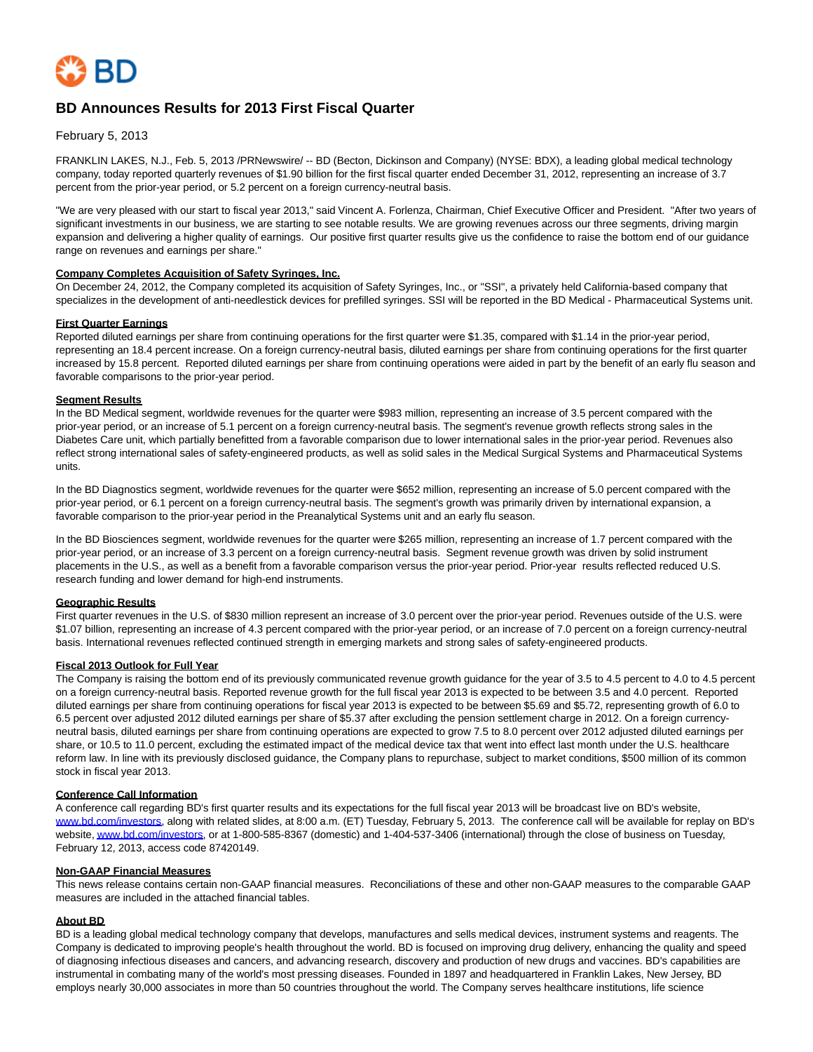

# **BD Announces Results for 2013 First Fiscal Quarter**

February 5, 2013

FRANKLIN LAKES, N.J., Feb. 5, 2013 /PRNewswire/ -- BD (Becton, Dickinson and Company) (NYSE: BDX), a leading global medical technology company, today reported quarterly revenues of \$1.90 billion for the first fiscal quarter ended December 31, 2012, representing an increase of 3.7 percent from the prior-year period, or 5.2 percent on a foreign currency-neutral basis.

"We are very pleased with our start to fiscal year 2013," said Vincent A. Forlenza, Chairman, Chief Executive Officer and President. "After two years of significant investments in our business, we are starting to see notable results. We are growing revenues across our three segments, driving margin expansion and delivering a higher quality of earnings. Our positive first quarter results give us the confidence to raise the bottom end of our guidance range on revenues and earnings per share."

## **Company Completes Acquisition of Safety Syringes, Inc.**

On December 24, 2012, the Company completed its acquisition of Safety Syringes, Inc., or "SSI", a privately held California-based company that specializes in the development of anti-needlestick devices for prefilled syringes. SSI will be reported in the BD Medical - Pharmaceutical Systems unit.

### **First Quarter Earnings**

Reported diluted earnings per share from continuing operations for the first quarter were \$1.35, compared with \$1.14 in the prior-year period, representing an 18.4 percent increase. On a foreign currency-neutral basis, diluted earnings per share from continuing operations for the first quarter increased by 15.8 percent. Reported diluted earnings per share from continuing operations were aided in part by the benefit of an early flu season and favorable comparisons to the prior-year period.

## **Segment Results**

In the BD Medical segment, worldwide revenues for the quarter were \$983 million, representing an increase of 3.5 percent compared with the prior-year period, or an increase of 5.1 percent on a foreign currency-neutral basis. The segment's revenue growth reflects strong sales in the Diabetes Care unit, which partially benefitted from a favorable comparison due to lower international sales in the prior-year period. Revenues also reflect strong international sales of safety-engineered products, as well as solid sales in the Medical Surgical Systems and Pharmaceutical Systems units.

In the BD Diagnostics segment, worldwide revenues for the quarter were \$652 million, representing an increase of 5.0 percent compared with the prior-year period, or 6.1 percent on a foreign currency-neutral basis. The segment's growth was primarily driven by international expansion, a favorable comparison to the prior-year period in the Preanalytical Systems unit and an early flu season.

In the BD Biosciences segment, worldwide revenues for the quarter were \$265 million, representing an increase of 1.7 percent compared with the prior-year period, or an increase of 3.3 percent on a foreign currency-neutral basis. Segment revenue growth was driven by solid instrument placements in the U.S., as well as a benefit from a favorable comparison versus the prior-year period. Prior-year results reflected reduced U.S. research funding and lower demand for high-end instruments.

#### **Geographic Results**

First quarter revenues in the U.S. of \$830 million represent an increase of 3.0 percent over the prior-year period. Revenues outside of the U.S. were \$1.07 billion, representing an increase of 4.3 percent compared with the prior-year period, or an increase of 7.0 percent on a foreign currency-neutral basis. International revenues reflected continued strength in emerging markets and strong sales of safety-engineered products.

#### **Fiscal 2013 Outlook for Full Year**

The Company is raising the bottom end of its previously communicated revenue growth guidance for the year of 3.5 to 4.5 percent to 4.0 to 4.5 percent on a foreign currency-neutral basis. Reported revenue growth for the full fiscal year 2013 is expected to be between 3.5 and 4.0 percent. Reported diluted earnings per share from continuing operations for fiscal year 2013 is expected to be between \$5.69 and \$5.72, representing growth of 6.0 to 6.5 percent over adjusted 2012 diluted earnings per share of \$5.37 after excluding the pension settlement charge in 2012. On a foreign currencyneutral basis, diluted earnings per share from continuing operations are expected to grow 7.5 to 8.0 percent over 2012 adjusted diluted earnings per share, or 10.5 to 11.0 percent, excluding the estimated impact of the medical device tax that went into effect last month under the U.S. healthcare reform law. In line with its previously disclosed guidance, the Company plans to repurchase, subject to market conditions, \$500 million of its common stock in fiscal year 2013.

#### **Conference Call Information**

A conference call regarding BD's first quarter results and its expectations for the full fiscal year 2013 will be broadcast live on BD's website, [www.bd.com/investors,](http://www.bd.com/investors) along with related slides, at 8:00 a.m. (ET) Tuesday, February 5, 2013. The conference call will be available for replay on BD's website[, www.bd.com/investors,](http://www.bd.com/investors) or at 1-800-585-8367 (domestic) and 1-404-537-3406 (international) through the close of business on Tuesday, February 12, 2013, access code 87420149.

#### **Non-GAAP Financial Measures**

This news release contains certain non-GAAP financial measures. Reconciliations of these and other non-GAAP measures to the comparable GAAP measures are included in the attached financial tables.

#### **About BD**

BD is a leading global medical technology company that develops, manufactures and sells medical devices, instrument systems and reagents. The Company is dedicated to improving people's health throughout the world. BD is focused on improving drug delivery, enhancing the quality and speed of diagnosing infectious diseases and cancers, and advancing research, discovery and production of new drugs and vaccines. BD's capabilities are instrumental in combating many of the world's most pressing diseases. Founded in 1897 and headquartered in Franklin Lakes, New Jersey, BD employs nearly 30,000 associates in more than 50 countries throughout the world. The Company serves healthcare institutions, life science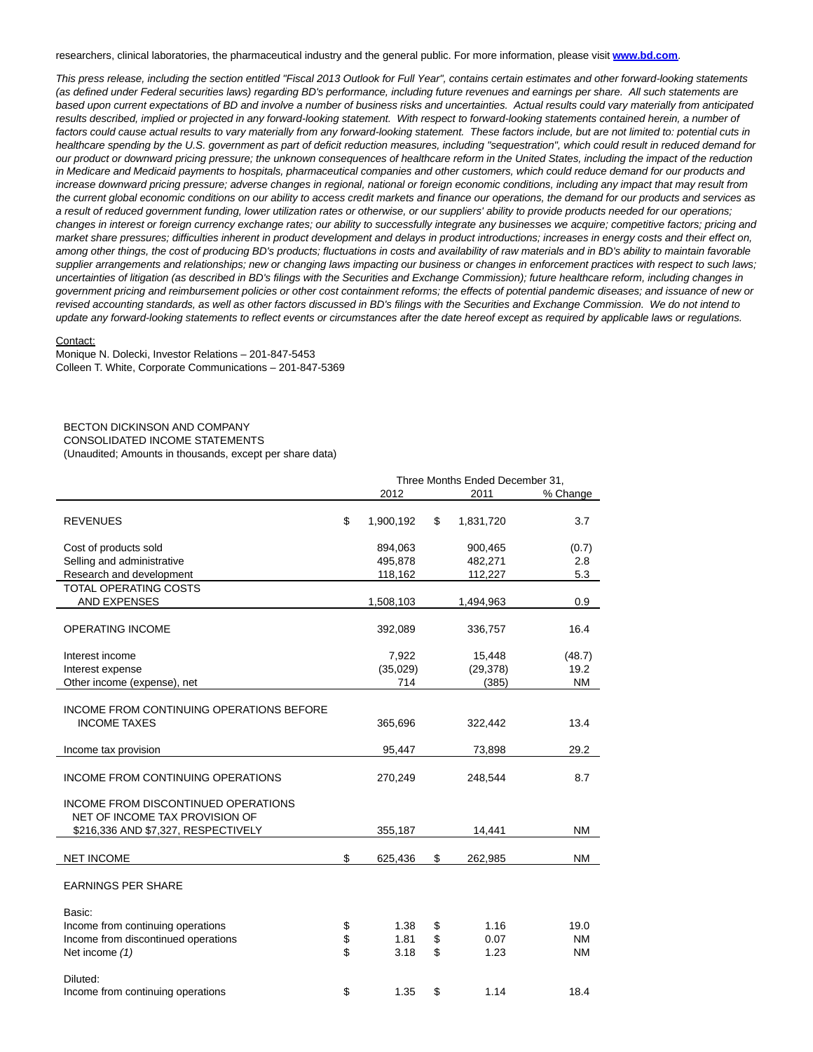researchers, clinical laboratories, the pharmaceutical industry and the general public. For more information, please visit **[www.bd.com](http://www.bd.com/)**.

This press release, including the section entitled "Fiscal 2013 Outlook for Full Year", contains certain estimates and other forward-looking statements (as defined under Federal securities laws) regarding BD's performance, including future revenues and earnings per share. All such statements are based upon current expectations of BD and involve a number of business risks and uncertainties. Actual results could vary materially from anticipated results described, implied or projected in any forward-looking statement. With respect to forward-looking statements contained herein, a number of factors could cause actual results to vary materially from any forward-looking statement. These factors include, but are not limited to: potential cuts in healthcare spending by the U.S. government as part of deficit reduction measures, including "sequestration", which could result in reduced demand for our product or downward pricing pressure; the unknown consequences of healthcare reform in the United States, including the impact of the reduction in Medicare and Medicaid payments to hospitals, pharmaceutical companies and other customers, which could reduce demand for our products and increase downward pricing pressure; adverse changes in regional, national or foreign economic conditions, including any impact that may result from the current global economic conditions on our ability to access credit markets and finance our operations, the demand for our products and services as a result of reduced government funding, lower utilization rates or otherwise, or our suppliers' ability to provide products needed for our operations; changes in interest or foreign currency exchange rates; our ability to successfully integrate any businesses we acquire; competitive factors; pricing and market share pressures; difficulties inherent in product development and delays in product introductions; increases in energy costs and their effect on, among other things, the cost of producing BD's products; fluctuations in costs and availability of raw materials and in BD's ability to maintain favorable supplier arrangements and relationships; new or changing laws impacting our business or changes in enforcement practices with respect to such laws; uncertainties of litigation (as described in BD's filings with the Securities and Exchange Commission); future healthcare reform, including changes in government pricing and reimbursement policies or other cost containment reforms; the effects of potential pandemic diseases; and issuance of new or revised accounting standards, as well as other factors discussed in BD's filings with the Securities and Exchange Commission. We do not intend to update any forward-looking statements to reflect events or circumstances after the date hereof except as required by applicable laws or regulations.

#### Contact:

Monique N. Dolecki, Investor Relations – 201-847-5453 Colleen T. White, Corporate Communications – 201-847-5369

#### BECTON DICKINSON AND COMPANY CONSOLIDATED INCOME STATEMENTS

(Unaudited; Amounts in thousands, except per share data)

|                                                                                                              | Three Months Ended December 31, |           |    |           |           |  |
|--------------------------------------------------------------------------------------------------------------|---------------------------------|-----------|----|-----------|-----------|--|
|                                                                                                              |                                 | 2012      |    | 2011      | % Change  |  |
| <b>REVENUES</b>                                                                                              | \$                              | 1,900,192 | \$ | 1,831,720 | 3.7       |  |
| Cost of products sold                                                                                        |                                 | 894,063   |    | 900,465   | (0.7)     |  |
| Selling and administrative                                                                                   |                                 | 495,878   |    | 482,271   | 2.8       |  |
| Research and development                                                                                     |                                 | 118,162   |    | 112,227   | 5.3       |  |
| <b>TOTAL OPERATING COSTS</b>                                                                                 |                                 |           |    |           |           |  |
| <b>AND EXPENSES</b>                                                                                          |                                 | 1,508,103 |    | 1,494,963 | 0.9       |  |
| OPERATING INCOME                                                                                             |                                 | 392,089   |    | 336,757   | 16.4      |  |
| Interest income                                                                                              |                                 | 7,922     |    | 15,448    | (48.7)    |  |
| Interest expense                                                                                             |                                 | (35,029)  |    | (29, 378) | 19.2      |  |
| Other income (expense), net                                                                                  |                                 | 714       |    | (385)     | <b>NM</b> |  |
| INCOME FROM CONTINUING OPERATIONS BEFORE<br><b>INCOME TAXES</b>                                              |                                 | 365,696   |    | 322,442   | 13.4      |  |
|                                                                                                              |                                 |           |    |           |           |  |
| Income tax provision                                                                                         |                                 | 95,447    |    | 73,898    | 29.2      |  |
| INCOME FROM CONTINUING OPERATIONS                                                                            |                                 | 270,249   |    | 248,544   | 8.7       |  |
| INCOME FROM DISCONTINUED OPERATIONS<br>NET OF INCOME TAX PROVISION OF<br>\$216,336 AND \$7,327, RESPECTIVELY |                                 | 355,187   |    | 14.441    | <b>NM</b> |  |
|                                                                                                              |                                 |           |    |           |           |  |
| <b>NET INCOME</b>                                                                                            | \$                              | 625,436   | \$ | 262,985   | <b>NM</b> |  |
| <b>EARNINGS PER SHARE</b>                                                                                    |                                 |           |    |           |           |  |
| Basic:                                                                                                       |                                 |           |    |           |           |  |
| Income from continuing operations                                                                            | \$                              | 1.38      | \$ | 1.16      | 19.0      |  |
| Income from discontinued operations                                                                          | \$                              | 1.81      | \$ | 0.07      | <b>NM</b> |  |
| Net income (1)                                                                                               | \$                              | 3.18      | \$ | 1.23      | <b>NM</b> |  |
| Diluted:                                                                                                     |                                 |           |    |           |           |  |
| Income from continuing operations                                                                            | \$                              | 1.35      | \$ | 1.14      | 18.4      |  |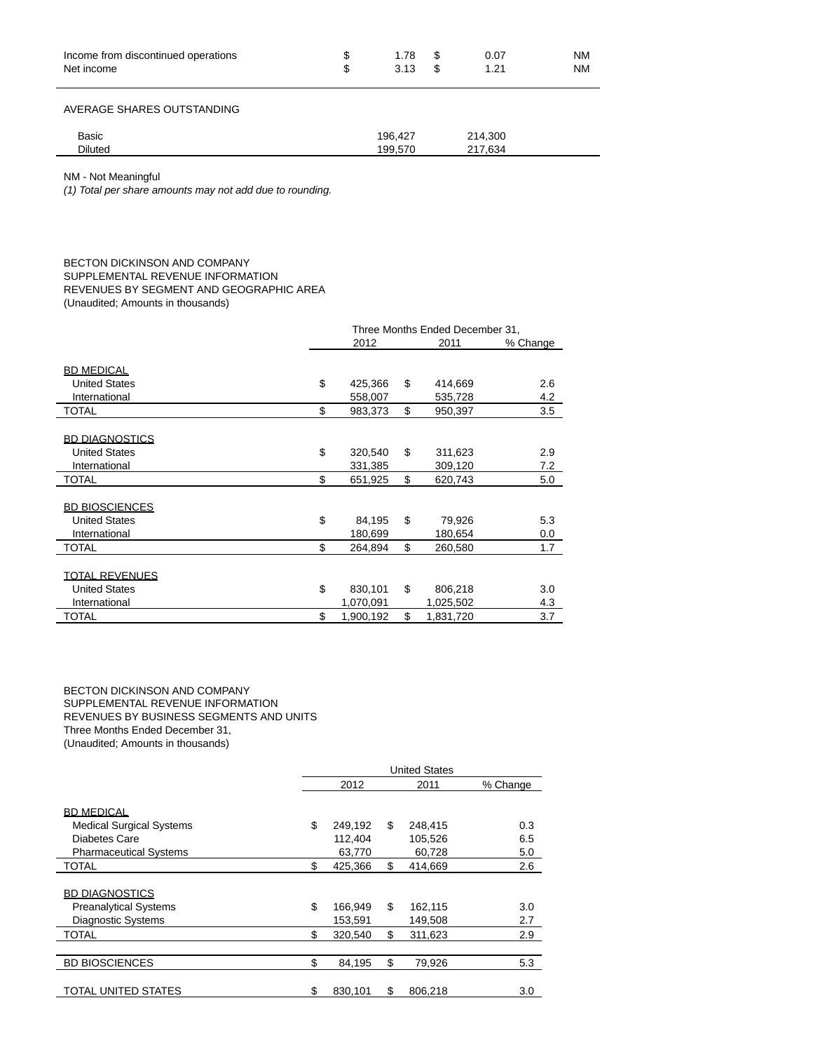| \$<br>\$ | 1.78<br>3.13 | \$<br>\$ | 0.07<br>1.21 | ΝM<br>ΝM |
|----------|--------------|----------|--------------|----------|
|          |              |          |              |          |
|          | 196,427      |          | 214,300      |          |
|          |              | 199,570  |              | 217,634  |

NM - Not Meaningful

(1) Total per share amounts may not add due to rounding.

# BECTON DICKINSON AND COMPANY SUPPLEMENTAL REVENUE INFORMATION REVENUES BY SEGMENT AND GEOGRAPHIC AREA (Unaudited; Amounts in thousands)

|                       | Three Months Ended December 31, |           |    |           |          |  |  |
|-----------------------|---------------------------------|-----------|----|-----------|----------|--|--|
|                       |                                 | 2012      |    | 2011      | % Change |  |  |
| <b>BD MEDICAL</b>     |                                 |           |    |           |          |  |  |
| <b>United States</b>  | \$                              | 425,366   | \$ | 414,669   | 2.6      |  |  |
| International         |                                 | 558,007   |    | 535,728   | 4.2      |  |  |
| TOTAL                 | \$                              | 983,373   | \$ | 950,397   | 3.5      |  |  |
|                       |                                 |           |    |           |          |  |  |
| <b>BD DIAGNOSTICS</b> |                                 |           |    |           |          |  |  |
| <b>United States</b>  | \$                              | 320,540   | \$ | 311,623   | 2.9      |  |  |
| International         |                                 | 331,385   |    | 309,120   | 7.2      |  |  |
| TOTAL                 | \$                              | 651,925   | \$ | 620,743   | 5.0      |  |  |
|                       |                                 |           |    |           |          |  |  |
| <b>BD BIOSCIENCES</b> |                                 |           |    |           |          |  |  |
| <b>United States</b>  | \$                              | 84,195    | \$ | 79,926    | 5.3      |  |  |
| International         |                                 | 180,699   |    | 180,654   | 0.0      |  |  |
| <b>TOTAL</b>          | \$                              | 264,894   | \$ | 260,580   | 1.7      |  |  |
|                       |                                 |           |    |           |          |  |  |
| <b>TOTAL REVENUES</b> |                                 |           |    |           |          |  |  |
| <b>United States</b>  | \$                              | 830,101   | \$ | 806,218   | 3.0      |  |  |
| International         |                                 | 1,070,091 |    | 1,025,502 | 4.3      |  |  |
| <b>TOTAL</b>          | \$                              | 1,900,192 | \$ | 1,831,720 | 3.7      |  |  |

# BECTON DICKINSON AND COMPANY SUPPLEMENTAL REVENUE INFORMATION REVENUES BY BUSINESS SEGMENTS AND UNITS Three Months Ended December 31, (Unaudited; Amounts in thousands)

|                                 | <b>United States</b> |         |    |         |          |  |
|---------------------------------|----------------------|---------|----|---------|----------|--|
|                                 |                      | 2012    |    | 2011    | % Change |  |
| <b>BD MEDICAL</b>               |                      |         |    |         |          |  |
| <b>Medical Surgical Systems</b> | \$                   | 249.192 | \$ | 248.415 | 0.3      |  |
| Diabetes Care                   |                      | 112,404 |    | 105,526 | 6.5      |  |
| <b>Pharmaceutical Systems</b>   |                      | 63.770  |    | 60.728  | 5.0      |  |
| <b>TOTAL</b>                    | \$                   | 425,366 | \$ | 414,669 | 2.6      |  |
| <b>BD DIAGNOSTICS</b>           |                      |         |    |         |          |  |
| <b>Preanalytical Systems</b>    | \$                   | 166,949 | \$ | 162,115 | 3.0      |  |
| Diagnostic Systems              |                      | 153.591 |    | 149,508 | 2.7      |  |
| <b>TOTAL</b>                    | \$                   | 320.540 | \$ | 311,623 | 2.9      |  |
|                                 |                      |         |    |         |          |  |
| <b>BD BIOSCIENCES</b>           | \$                   | 84.195  | \$ | 79,926  | 5.3      |  |
| TOTAL UNITED STATES             | \$                   | 830.101 | \$ | 806.218 | 3.0      |  |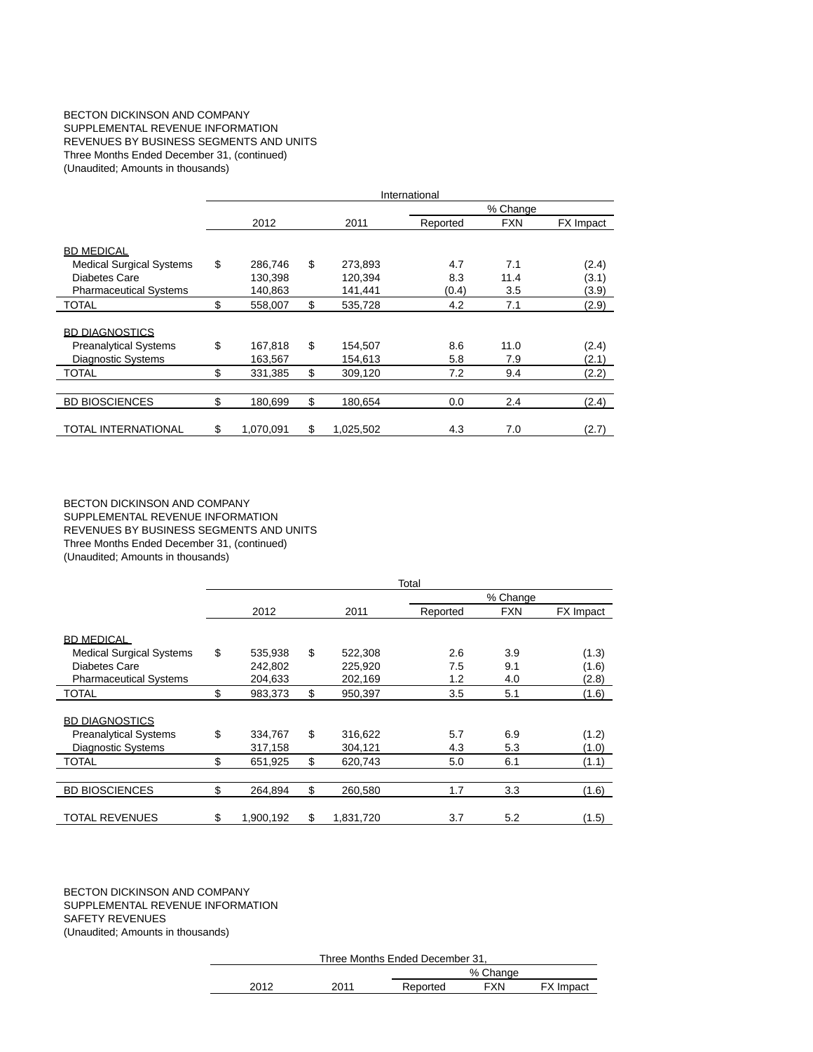## BECTON DICKINSON AND COMPANY SUPPLEMENTAL REVENUE INFORMATION REVENUES BY BUSINESS SEGMENTS AND UNITS Three Months Ended December 31, (continued) (Unaudited; Amounts in thousands)

|                                 | International |           |    |           |          |            |           |  |  |  |
|---------------------------------|---------------|-----------|----|-----------|----------|------------|-----------|--|--|--|
|                                 |               |           |    |           | % Change |            |           |  |  |  |
|                                 |               | 2012      |    | 2011      | Reported | <b>FXN</b> | FX Impact |  |  |  |
|                                 |               |           |    |           |          |            |           |  |  |  |
| <b>BD MEDICAL</b>               |               |           |    |           |          |            |           |  |  |  |
| <b>Medical Surgical Systems</b> | \$            | 286,746   | \$ | 273,893   | 4.7      | 7.1        | (2.4)     |  |  |  |
| Diabetes Care                   |               | 130,398   |    | 120,394   | 8.3      | 11.4       | (3.1)     |  |  |  |
| <b>Pharmaceutical Systems</b>   |               | 140,863   |    | 141,441   | (0.4)    | 3.5        | (3.9)     |  |  |  |
| TOTAL                           | \$            | 558,007   | \$ | 535,728   | 4.2      | 7.1        | (2.9)     |  |  |  |
|                                 |               |           |    |           |          |            |           |  |  |  |
| <b>BD DIAGNOSTICS</b>           |               |           |    |           |          |            |           |  |  |  |
| <b>Preanalytical Systems</b>    | \$            | 167.818   | \$ | 154,507   | 8.6      | 11.0       | (2.4)     |  |  |  |
| <b>Diagnostic Systems</b>       |               | 163,567   |    | 154.613   | 5.8      | 7.9        | (2.1)     |  |  |  |
| TOTAL                           | \$            | 331,385   | \$ | 309,120   | 7.2      | 9.4        | (2.2)     |  |  |  |
|                                 |               |           |    |           |          |            |           |  |  |  |
| <b>BD BIOSCIENCES</b>           | \$            | 180.699   | \$ | 180.654   | 0.0      | 2.4        | (2.4)     |  |  |  |
|                                 |               |           |    |           |          |            |           |  |  |  |
| TOTAL INTERNATIONAL             | \$            | 1.070.091 | \$ | 1.025.502 | 4.3      | 7.0        | (2.7)     |  |  |  |

# BECTON DICKINSON AND COMPANY SUPPLEMENTAL REVENUE INFORMATION REVENUES BY BUSINESS SEGMENTS AND UNITS Three Months Ended December 31, (continued) (Unaudited; Amounts in thousands)

|                                                                                    | Total |                    |    |                    |            |            |                |  |
|------------------------------------------------------------------------------------|-------|--------------------|----|--------------------|------------|------------|----------------|--|
|                                                                                    |       |                    |    |                    | % Change   |            |                |  |
|                                                                                    |       | 2012               |    | 2011               | Reported   | <b>FXN</b> | FX Impact      |  |
| <b>BD MEDICAL</b><br><b>Medical Surgical Systems</b><br>Diabetes Care              | \$    | 535,938<br>242.802 | \$ | 522,308<br>225.920 | 2.6<br>7.5 | 3.9<br>9.1 | (1.3)<br>(1.6) |  |
| <b>Pharmaceutical Systems</b>                                                      |       | 204.633            |    | 202,169            | 1.2        | 4.0        | (2.8)          |  |
| <b>TOTAL</b>                                                                       | \$    | 983,373            | \$ | 950,397            | 3.5        | 5.1        | (1.6)          |  |
| <b>BD DIAGNOSTICS</b><br><b>Preanalytical Systems</b><br><b>Diagnostic Systems</b> | \$    | 334,767<br>317,158 | \$ | 316,622<br>304,121 | 5.7<br>4.3 | 6.9<br>5.3 | (1.2)<br>(1.0) |  |
| TOTAL                                                                              | \$    | 651,925            | \$ | 620,743            | 5.0        | 6.1        | (1.1)          |  |
|                                                                                    |       |                    |    |                    |            |            |                |  |
| <b>BD BIOSCIENCES</b>                                                              | \$    | 264,894            | \$ | 260,580            | 1.7        | 3.3        | (1.6)          |  |
| <b>TOTAL REVENUES</b>                                                              | \$    | 1,900,192          | \$ | 1,831,720          | 3.7        | 5.2        | (1.5)          |  |

BECTON DICKINSON AND COMPANY SUPPLEMENTAL REVENUE INFORMATION SAFETY REVENUES (Unaudited; Amounts in thousands)

Three Months Ended December 31,

|    |      |     | 0/2<br>7υ |      |
|----|------|-----|-----------|------|
| זר | 3011 | ted | ™XN       | งact |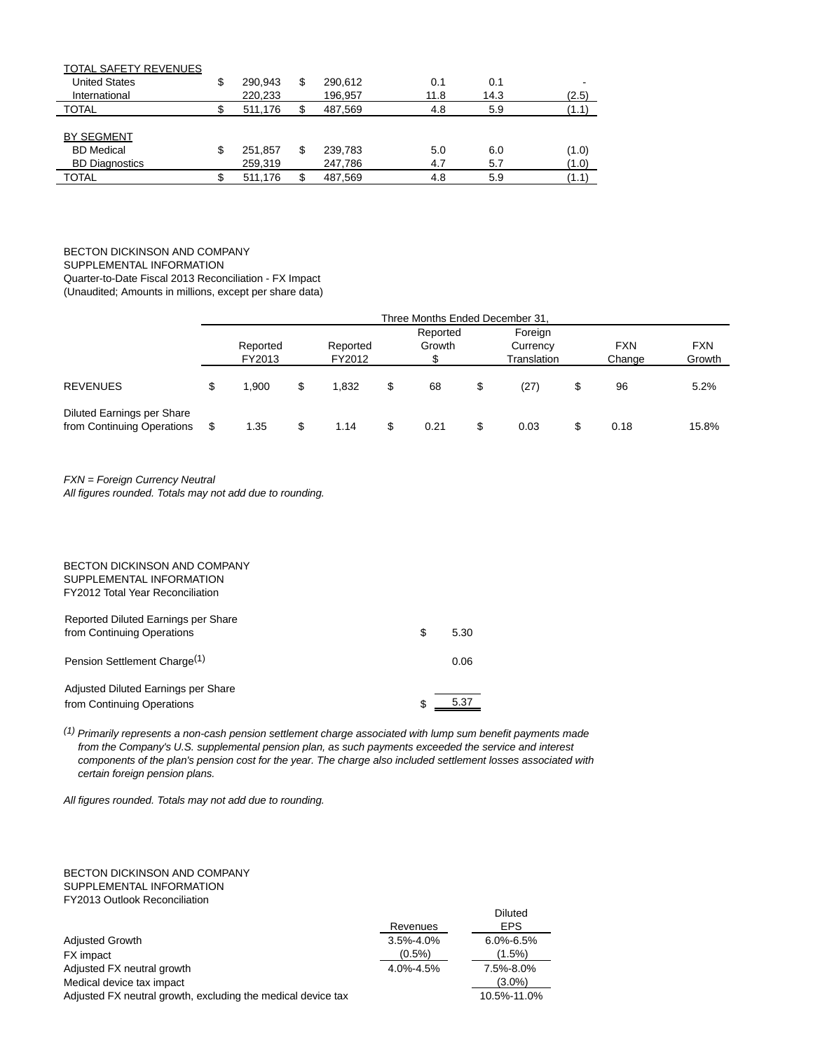| \$<br>290.943 | \$ | 290,612 | 0.1  | 0.1  | -     |
|---------------|----|---------|------|------|-------|
| 220,233       |    | 196,957 | 11.8 | 14.3 | (2.5) |
| 511.176       |    | 487,569 | 4.8  | 5.9  | (1.1) |
|               |    |         |      |      |       |
|               |    |         |      |      |       |
| \$<br>251.857 | S  | 239,783 | 5.0  | 6.0  | (1.0) |
| 259,319       |    | 247,786 | 4.7  | 5.7  | (1.0) |
| 511,176       |    | 487,569 | 4.8  | 5.9  | (1.1) |
|               |    |         |      |      |       |

# BECTON DICKINSON AND COMPANY SUPPLEMENTAL INFORMATION Quarter-to-Date Fiscal 2013 Reconciliation - FX Impact (Unaudited; Amounts in millions, except per share data)

|                                                          | Three Months Ended December 31, |                    |    |                    |    |                    |    |                                    |    |                      |                      |
|----------------------------------------------------------|---------------------------------|--------------------|----|--------------------|----|--------------------|----|------------------------------------|----|----------------------|----------------------|
|                                                          |                                 | Reported<br>FY2013 |    | Reported<br>FY2012 |    | Reported<br>Growth |    | Foreign<br>Currency<br>Translation |    | <b>FXN</b><br>Change | <b>FXN</b><br>Growth |
| <b>REVENUES</b>                                          | \$                              | 900.               | \$ | 1.832              | \$ | 68                 | \$ | (27)                               | \$ | 96                   | 5.2%                 |
| Diluted Earnings per Share<br>from Continuing Operations | S                               | 1.35               | \$ | 1.14               | \$ | 0.21               | \$ | 0.03                               | \$ | 0.18                 | 15.8%                |

## FXN = Foreign Currency Neutral

All figures rounded. Totals may not add due to rounding.

| BECTON DICKINSON AND COMPANY<br>SUPPLEMENTAL INFORMATION<br><b>FY2012 Total Year Reconciliation</b> |            |
|-----------------------------------------------------------------------------------------------------|------------|
| Reported Diluted Earnings per Share<br>from Continuing Operations                                   | \$<br>5.30 |
| Pension Settlement Charge <sup>(1)</sup>                                                            | 0.06       |
| Adjusted Diluted Earnings per Share<br>from Continuing Operations                                   | 5.37       |

 $(1)$  Primarily represents a non-cash pension settlement charge associated with lump sum benefit payments made from the Company's U.S. supplemental pension plan, as such payments exceeded the service and interest components of the plan's pension cost for the year. The charge also included settlement losses associated with certain foreign pension plans.

All figures rounded. Totals may not add due to rounding.

## BECTON DICKINSON AND COMPANY SUPPLEMENTAL INFORMATION FY2013 Outlook Reconciliation

|                                                              | Revenues        | <b>Diluted</b><br>EPS. |
|--------------------------------------------------------------|-----------------|------------------------|
| <b>Adjusted Growth</b>                                       | $3.5\% - 4.0\%$ | $6.0\% - 6.5\%$        |
| FX impact                                                    | $(0.5\%)$       | (1.5%)                 |
| Adjusted FX neutral growth                                   | $4.0\% - 4.5\%$ | 7.5%-8.0%              |
| Medical device tax impact                                    |                 | $(3.0\%)$              |
| Adjusted FX neutral growth, excluding the medical device tax |                 | 10.5%-11.0%            |